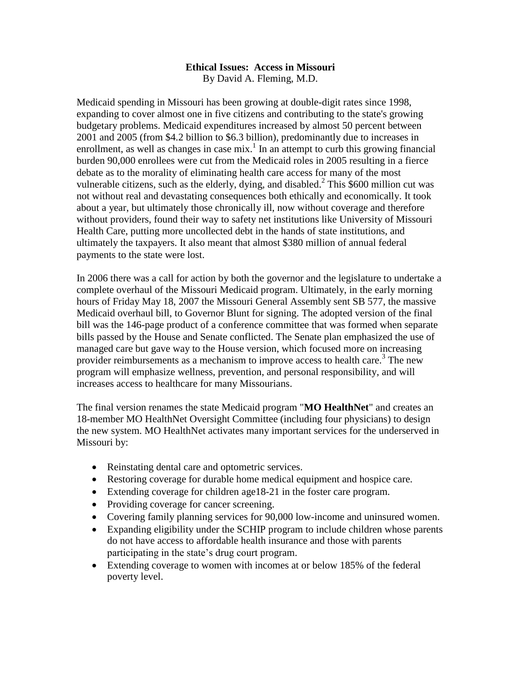## **Ethical Issues: Access in Missouri** By David A. Fleming, M.D.

Medicaid spending in Missouri has been growing at double-digit rates since 1998, expanding to cover almost one in five citizens and contributing to the state's growing budgetary problems. Medicaid expenditures increased by almost 50 percent between 2001 and 2005 (from \$4.2 billion to \$6.3 billion), predominantly due to increases in enrollment, as well as changes in case  $mix$ <sup>1</sup> In an attempt to curb this growing financial burden 90,000 enrollees were cut from the Medicaid roles in 2005 resulting in a fierce debate as to the morality of eliminating health care access for many of the most vulnerable citizens, such as the elderly, dying, and disabled.<sup>2</sup> This \$600 million cut was not without real and devastating consequences both ethically and economically. It took about a year, but ultimately those chronically ill, now without coverage and therefore without providers, found their way to safety net institutions like University of Missouri Health Care, putting more uncollected debt in the hands of state institutions, and ultimately the taxpayers. It also meant that almost \$380 million of annual federal payments to the state were lost.

In 2006 there was a call for action by both the governor and the legislature to undertake a complete overhaul of the Missouri Medicaid program. Ultimately, in the early morning hours of Friday May 18, 2007 the Missouri General Assembly sent SB 577, the massive Medicaid overhaul bill, to Governor Blunt for signing. The adopted version of the final bill was the 146-page product of a conference committee that was formed when separate bills passed by the House and Senate conflicted. The Senate plan emphasized the use of managed care but gave way to the House version, which focused more on increasing provider reimbursements as a mechanism to improve access to health care.<sup>3</sup> The new program will emphasize wellness, prevention, and personal responsibility, and will increases access to healthcare for many Missourians.

The final version renames the state Medicaid program "**MO HealthNet**" and creates an 18-member MO HealthNet Oversight Committee (including four physicians) to design the new system. MO HealthNet activates many important services for the underserved in Missouri by:

- Reinstating dental care and optometric services.
- Restoring coverage for durable home medical equipment and hospice care.
- Extending coverage for children age18-21 in the foster care program.
- Providing coverage for cancer screening.
- Covering family planning services for 90,000 low-income and uninsured women.
- Expanding eligibility under the SCHIP program to include children whose parents do not have access to affordable health insurance and those with parents participating in the state's drug court program.
- Extending coverage to women with incomes at or below 185% of the federal poverty level.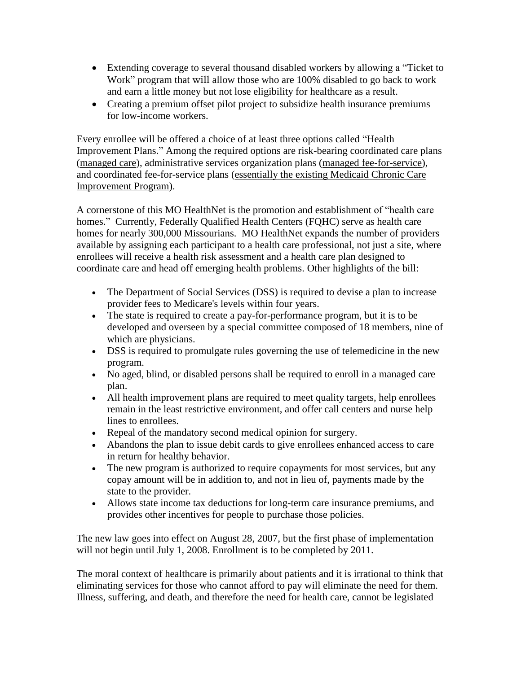- Extending coverage to several thousand disabled workers by allowing a "Ticket to Work" program that will allow those who are 100% disabled to go back to work and earn a little money but not lose eligibility for healthcare as a result.
- Creating a premium offset pilot project to subsidize health insurance premiums for low-income workers.

Every enrollee will be offered a choice of at least three options called "Health Improvement Plans." Among the required options are risk-bearing coordinated care plans (managed care), administrative services organization plans (managed fee-for-service), and coordinated fee-for-service plans (essentially the existing Medicaid Chronic Care Improvement Program).

A cornerstone of this MO HealthNet is the promotion and establishment of "health care homes." Currently, Federally Qualified Health Centers (FQHC) serve as health care homes for nearly 300,000 Missourians. MO HealthNet expands the number of providers available by assigning each participant to a health care professional, not just a site, where enrollees will receive a health risk assessment and a health care plan designed to coordinate care and head off emerging health problems. Other highlights of the bill:

- The Department of Social Services (DSS) is required to devise a plan to increase provider fees to Medicare's levels within four years.
- The state is required to create a pay-for-performance program, but it is to be developed and overseen by a special committee composed of 18 members, nine of which are physicians.
- DSS is required to promulgate rules governing the use of telemedicine in the new program.
- No aged, blind, or disabled persons shall be required to enroll in a managed care plan.
- All health improvement plans are required to meet quality targets, help enrollees remain in the least restrictive environment, and offer call centers and nurse help lines to enrollees.
- Repeal of the mandatory second medical opinion for surgery.
- Abandons the plan to issue debit cards to give enrollees enhanced access to care in return for healthy behavior.
- The new program is authorized to require copayments for most services, but any copay amount will be in addition to, and not in lieu of, payments made by the state to the provider.
- Allows state income tax deductions for long-term care insurance premiums, and provides other incentives for people to purchase those policies.

The new law goes into effect on August 28, 2007, but the first phase of implementation will not begin until July 1, 2008. Enrollment is to be completed by 2011.

The moral context of healthcare is primarily about patients and it is irrational to think that eliminating services for those who cannot afford to pay will eliminate the need for them. Illness, suffering, and death, and therefore the need for health care, cannot be legislated